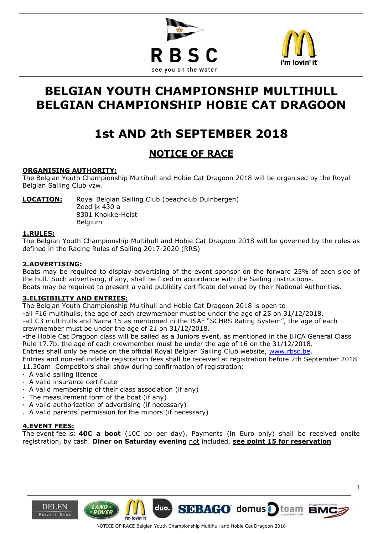



# **BELGIAN YOUTH CHAMPIONSHIP MULTIHULL BELGIAN CHAMPIONSHIP HOBIE CAT DRAGOON**

# **1st AND 2th SEPTEMBER 2018**

# **NOTICE OF RACE**

## **ORGANISING AUTHORITY:**

The Belgian Youth Championship Multihull and Hobie Cat Dragoon 2018 will be organised by the Royal Belgian Sailing Club vzw.

**LOCATION:** Royal Belgian Sailing Club (beachclub Duinbergen) Zeedijk 430 a 8301 Knokke-Heist Belgium

### **1.RULES:**

 $\overline{a}$ 

The Belgian Youth Championship Multihull and Hobie Cat Dragoon 2018 will be governed by the rules as defined in the Racing Rules of Sailing 2017-2020 (RRS)

### **2.ADVERTISING:**

Boats may be required to display advertising of the event sponsor on the forward 25% of each side of the hull. Such advertising, if any, shall be fixed in accordance with the Sailing Instructions. Boats may be required to present a valid publicity certificate delivered by their National Authorities.

### **3.ELIGIBILITY AND ENTRIES:**

The Belgian Youth Championship Multihull and Hobie Cat Dragoon 2018 is open to

-all F16 multihulls, the age of each crewmember must be under the age of 25 on 31/12/2018.

-all C3 multihulls and Nacra 15 as mentioned in the ISAF "SCHRS Rating System", the age of each crewmember must be under the age of 21 on 31/12/2018.

-the Hobie Cat Dragoon class will be sailed as a Juniors event, as mentioned in the IHCA General Class Rule 17.7b, the age of each crewmember must be under the age of 16 on the 31/12/2018.

Entries shall only be made on the official Royal Belgian Sailing Club website, [www.rbsc.be.](http://www.rbsc.be/)

Entries and non-refundable registration fees shall be received at registration before 2th September 2018 11.30am. Competitors shall show during confirmation of registration:

- · A valid sailing licence
- · A valid insurance certificate
- · A valid membership of their class association (if any)
- · The measurement form of the boat (if any)
- · A valid authorization of advertising (if necessary)
- . A valid parents' permission for the minors (if necessary)

### **4.EVENT FEES:**

The event fee is: **40€ a boot** (10€ pp per day). Payments (in Euro only) shall be received onsite registration, by cash. **Diner on Saturday evening** not included, **see point 15 for reservation**





duo.

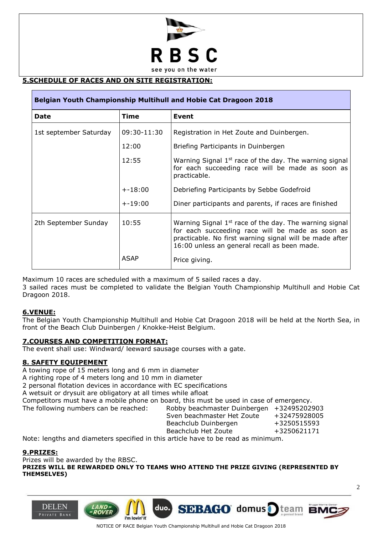

# $\overline{\phantom{0}}$ **5.SCHEDULE OF RACES AND ON SITE REGISTRATION:**

| Belgian Youth Championship Multihull and Hobie Cat Dragoon 2018 |             |                                                                                                                                                                                                                         |
|-----------------------------------------------------------------|-------------|-------------------------------------------------------------------------------------------------------------------------------------------------------------------------------------------------------------------------|
| <b>Date</b>                                                     | <b>Time</b> | <b>Event</b>                                                                                                                                                                                                            |
| 1st september Saturday                                          | 09:30-11:30 | Registration in Het Zoute and Duinbergen.                                                                                                                                                                               |
|                                                                 | 12:00       | Briefing Participants in Duinbergen                                                                                                                                                                                     |
|                                                                 | 12:55       | Warning Signal 1 <sup>st</sup> race of the day. The warning signal<br>for each succeeding race will be made as soon as<br>practicable.                                                                                  |
|                                                                 | $+ -18:00$  | Debriefing Participants by Sebbe Godefroid                                                                                                                                                                              |
|                                                                 | $+ -19:00$  | Diner participants and parents, if races are finished                                                                                                                                                                   |
| 2th September Sunday                                            | 10:55       | Warning Signal $1st$ race of the day. The warning signal<br>for each succeeding race will be made as soon as<br>practicable. No first warning signal will be made after<br>16:00 unless an general recall as been made. |
|                                                                 | <b>ASAP</b> | Price giving.                                                                                                                                                                                                           |

Maximum 10 races are scheduled with a maximum of 5 sailed races a day.

3 sailed races must be completed to validate the Belgian Youth Championship Multihull and Hobie Cat Dragoon 2018.

### **6.VENUE:**

The Belgian Youth Championship Multihull and Hobie Cat Dragoon 2018 will be held at the North Sea, in front of the Beach Club Duinbergen / Knokke-Heist Belgium.

### **7.COURSES AND COMPETITION FORMAT:**

The event shall use: Windward/ leeward sausage courses with a gate.

#### **8. SAFETY EQUIPEMENT**

A towing rope of 15 meters long and 6 mm in diameter

A righting rope of 4 meters long and 10 mm in diameter

2 personal flotation devices in accordance with EC specifications

A wetsuit or drysuit are obligatory at all times while afloat

Competitors must have a mobile phone on board, this must be used in case of emergency.

The following numbers can be reached: Robby beachmaster Duinbergen +32495202903 Sven beachmaster Het Zoute +32475928005

Beachclub Duinbergen +3250515593

**SEBAGO** domus

Beachclub Het Zoute +3250621171

Note: lengths and diameters specified in this article have to be read as minimum.

duo.

i'm lovin' it

#### **9.PRIZES:**

**DELEN** 

PRIVATE BAN

Prizes will be awarded by the RBSC.

**PRIZES WILL BE REWARDED ONLY TO TEAMS WHO ATTEND THE PRIZE GIVING (REPRESENTED BY THEMSELVES)** 

NOTICE OF RACE Belgian Youth Championship Multihull and Hobie Cat Dragoon 2018

team